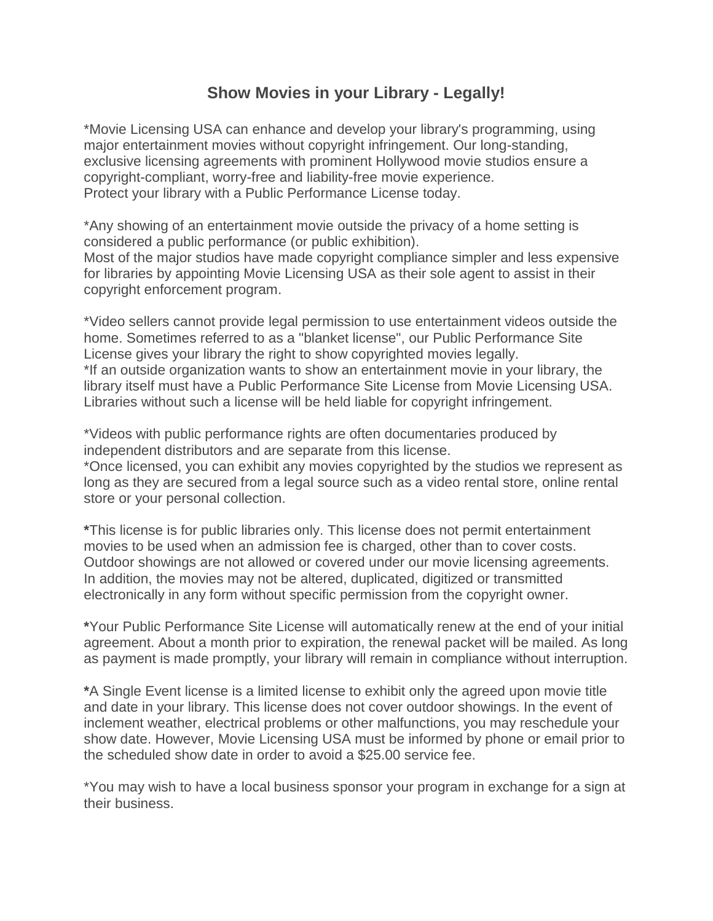## **Show Movies in your Library - Legally!**

\*Movie Licensing USA can enhance and develop your library's programming, using major entertainment movies without copyright infringement. Our long-standing, exclusive licensing agreements with prominent Hollywood movie studios ensure a copyright-compliant, worry-free and liability-free movie experience. Protect your library with a Public Performance License today.

\*Any showing of an entertainment movie outside the privacy of a home setting is considered a public performance (or public exhibition).

Most of the major studios have made copyright compliance simpler and less expensive for libraries by appointing Movie Licensing USA as their sole agent to assist in their copyright enforcement program.

\*Video sellers cannot provide legal permission to use entertainment videos outside the home. Sometimes referred to as a "blanket license", our Public Performance Site License gives your library the right to show copyrighted movies legally. \*If an outside organization wants to show an entertainment movie in your library, the library itself must have a Public Performance Site License from Movie Licensing USA. Libraries without such a license will be held liable for copyright infringement.

\*Videos with public performance rights are often documentaries produced by independent distributors and are separate from this license.

\*Once licensed, you can exhibit any movies copyrighted by the studios we represent as long as they are secured from a legal source such as a video rental store, online rental store or your personal collection.

**\***This license is for public libraries only. This license does not permit entertainment movies to be used when an admission fee is charged, other than to cover costs. Outdoor showings are not allowed or covered under our movie licensing agreements. In addition, the movies may not be altered, duplicated, digitized or transmitted electronically in any form without specific permission from the copyright owner.

**\***Your Public Performance Site License will automatically renew at the end of your initial agreement. About a month prior to expiration, the renewal packet will be mailed. As long as payment is made promptly, your library will remain in compliance without interruption.

**\***A Single Event license is a limited license to exhibit only the agreed upon movie title and date in your library. This license does not cover outdoor showings. In the event of inclement weather, electrical problems or other malfunctions, you may reschedule your show date. However, Movie Licensing USA must be informed by phone or email prior to the scheduled show date in order to avoid a \$25.00 service fee.

\*You may wish to have a local business sponsor your program in exchange for a sign at their business.